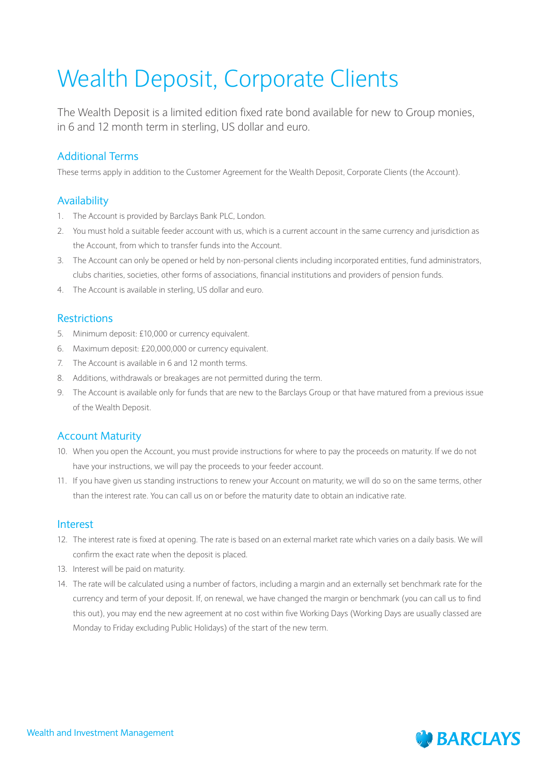# Wealth Deposit, Corporate Clients

The Wealth Deposit is a limited edition fixed rate bond available for new to Group monies, in 6 and 12 month term in sterling, US dollar and euro.

# Additional Terms

These terms apply in addition to the Customer Agreement for the Wealth Deposit, Corporate Clients (the Account).

### Availability

- 1. The Account is provided by Barclays Bank PLC, London.
- 2. You must hold a suitable feeder account with us, which is a current account in the same currency and jurisdiction as the Account, from which to transfer funds into the Account.
- 3. The Account can only be opened or held by non-personal clients including incorporated entities, fund administrators, clubs charities, societies, other forms of associations, financial institutions and providers of pension funds.
- 4. The Account is available in sterling, US dollar and euro.

### Restrictions

- 5. Minimum deposit: £10,000 or currency equivalent.
- 6. Maximum deposit: £20,000,000 or currency equivalent.
- 7. The Account is available in 6 and 12 month terms.
- 8. Additions, withdrawals or breakages are not permitted during the term.
- 9. The Account is available only for funds that are new to the Barclays Group or that have matured from a previous issue of the Wealth Deposit.

#### Account Maturity

- 10. When you open the Account, you must provide instructions for where to pay the proceeds on maturity. If we do not have your instructions, we will pay the proceeds to your feeder account.
- 11. If you have given us standing instructions to renew your Account on maturity, we will do so on the same terms, other than the interest rate. You can call us on or before the maturity date to obtain an indicative rate.

#### Interest

- 12. The interest rate is fixed at opening. The rate is based on an external market rate which varies on a daily basis. We will confirm the exact rate when the deposit is placed.
- 13. Interest will be paid on maturity.
- 14. The rate will be calculated using a number of factors, including a margin and an externally set benchmark rate for the currency and term of your deposit. If, on renewal, we have changed the margin or benchmark (you can call us to find this out), you may end the new agreement at no cost within five Working Days (Working Days are usually classed are Monday to Friday excluding Public Holidays) of the start of the new term.